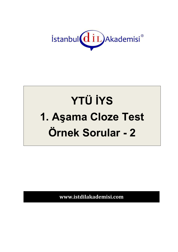

## **YTÜ İYS** 1. Aşama Cloze Test Örnek Sorular - 2

www.istdilakademisi.com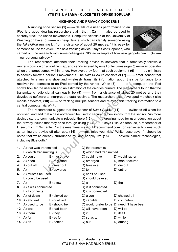## İSTANBUL DİL AKADEMİSİ **YTÜ İYS 1. AŞAMA - CLOZE TEST ÖRNEK SORULAR**

## **NIKE+IPOD AND PRIVACY CONCERNS**

A running shoe sensor **(1)** ------- details of a user's performance to an iPod is a good idea but researchers claim that it **(2)** ------- also be used to secretly track the user's movements. Computer scientists at the University of Washington have **(3)** ------- a cheap device which can identify someone using the *Nike+iPod* running kit from a distance of about 20 metres. "It is easy for someone to use the *Nike+iPod* as a tracking device," says Scott Saponas, who



carried out the research with some colleagues. "It's an example of how new gadgets can **(4)** ----- -- our personal privacy."

The researchers attached their tracking device to software that automatically follows a runner's position on an online map, and sends an alert by email or text message **(5)** ------- an operator when the target comes within range. However, they fear that such equipment **(6)** ------- by criminals to secretly follow a person's movements. The *Nike+iPod* kit consists of **(7)** ------- small sensor that attached to a runner's shoe and wirelessly transmits information about their performance to a receiver that connects to an iPod carried by the runner. When **(8)** ------- to a computer, the iPod shows how far the user ran and an estimation of the calories burned. The researchers found that the transmitter's radio signal can easily be **(9)** ------- from a distance of about 20 metres and they developed software to interpret the data received. The researchers also developed matchbox-size mobile detectors, **(10)** ------- of tracking multiple sensors and relaying this tracking information to a central computer via Wi-Fi.

The researchers suggest that the sensor of *Nike+iPod* kit **(11)** ------- switched off when it's not used, and add that a password could be used to secure transmissions from the sensor. "As more devices start to communicate wirelessly, there **(12)** ------- a growing need for user education about the privacy issues that may arise through using **(13)** -------," says Ollie Whitehouse, a researcher at IT security firm Symantec. "In the meantime, we would recommend common sense techniques, such as turning the device off after use, (14) ------- minimize your risk." Whitehouse says, "it should be noted that we're already surrounded by, and happily live **(15)** ------- several similar technologies, including Bluetooth."

| 1. | A) that was transmitted  |              | C) that transmits        |                                            |
|----|--------------------------|--------------|--------------------------|--------------------------------------------|
|    | B) which transmitting is |              | D) which had transmitted |                                            |
| 2. | A) could                 | B) must have | C) could have            | D) would rather                            |
| 3. | A) risen                 | B) regretted | C) emerged               | D) manufactured                            |
| 4. | A) put off               | B) wear out  | C) take over             | D) die out                                 |
| 5. | $A)$ -----               | B) upwards   | $C$ ) to                 | D) entire                                  |
| 6. | A) mustn't be used       |              | C) can't be used         |                                            |
|    | B) could be used         |              | D) should be used        |                                            |
|    | <b>7.</b> A) -----       | B) a few     | C) a                     | $D)$ the                                   |
|    | 8. A) it was connected   |              | C) is it connected       |                                            |
|    | B) it connects           |              | D) it is connected       |                                            |
| 9. | A) let down              | B) picked up | C) given in              | D) showed off                              |
|    | 10. A) efficient         | B) qualified | C) capable               | D) competent                               |
|    | 11. A) used to be        | B) should be |                          | C) would prefer to be D) needn't have been |
|    | 12. $A)$ was             | B) had been  | C) will have been        | D) will be                                 |
|    | 13. $A)$ them            | B) they      | $C)$ it                  | D) itself                                  |
|    | 14. $A)$ for             | B) as for    | C) so as to              | D) while                                   |
|    | 15. $A)$ on              | B) behind    | C) out                   | D) among                                   |